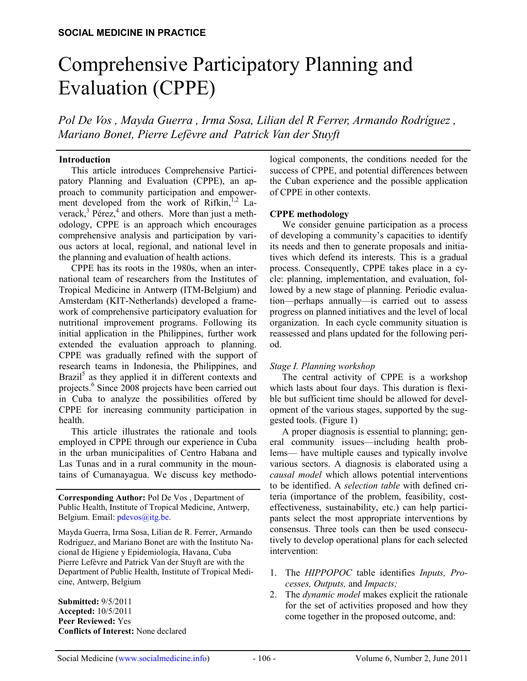# Comprehensive Participatory Planning and Evaluation (CPPE)

*Pol De Vos , Mayda Guerra , Irma Sosa, Lilian del R Ferrer, Armando Rodríguez , Mariano Bonet, Pierre Lefèvre and Patrick Van der Stuyft*

#### **Introduction**

This article introduces Comprehensive Participatory Planning and Evaluation (CPPE), an approach to community participation and empowerment developed from the work of Rifkin, $1,2$  Laverack, $3$  Pérez, $4$  and others. More than just a methodology, CPPE is an approach which encourages comprehensive analysis and participation by various actors at local, regional, and national level in the planning and evaluation of health actions.

CPPE has its roots in the 1980s, when an international team of researchers from the Institutes of Tropical Medicine in Antwerp (ITM-Belgium) and Amsterdam (KIT-Netherlands) developed a framework of comprehensive participatory evaluation for nutritional improvement programs. Following its initial application in the Philippines, further work extended the evaluation approach to planning. CPPE was gradually refined with the support of research teams in Indonesia, the Philippines, and Brazil<sup>5</sup> as they applied it in different contexts and projects.<sup>6</sup> Since 2008 projects have been carried out in Cuba to analyze the possibilities offered by CPPE for increasing community participation in health.

This article illustrates the rationale and tools employed in CPPE through our experience in Cuba in the urban municipalities of Centro Habana and Las Tunas and in a rural community in the mountains of Cumanayagua. We discuss key methodo-

**Corresponding Author:** Pol De Vos , Department of Public Health, Institute of Tropical Medicine, Antwerp, Belgium. Email: pdevos@itg.be.

Mayda Guerra, Irma Sosa, Lilian de R. Ferrer, Armando Rodríguez, and Mariano Bonet are with the Instituto Nacional de Higiene y Epidemiología, Havana, Cuba Pierre Lefèvre and Patrick Van der Stuyft are with the Department of Public Health, Institute of Tropical Medicine, Antwerp, Belgium

**Submitted:** 9/5/2011 **Accepted:** 10/5/2011 **Peer Reviewed:** Yes **Conflicts of Interest:** None declared logical components, the conditions needed for the success of CPPE, and potential differences between the Cuban experience and the possible application of CPPE in other contexts.

#### **CPPE methodology**

We consider genuine participation as a process of developing a community's capacities to identify its needs and then to generate proposals and initiatives which defend its interests. This is a gradual process. Consequently, CPPE takes place in a cycle: planning, implementation, and evaluation, followed by a new stage of planning. Periodic evaluation—perhaps annually—is carried out to assess progress on planned initiatives and the level of local organization. In each cycle community situation is reassessed and plans updated for the following period.

# *Stage I. Planning workshop*

The central activity of CPPE is a workshop which lasts about four days. This duration is flexible but sufficient time should be allowed for development of the various stages, supported by the suggested tools. (Figure 1)

A proper diagnosis is essential to planning; general community issues—including health problems— have multiple causes and typically involve various sectors. A diagnosis is elaborated using a *causal model* which allows potential interventions to be identified. A *selection table* with defined criteria (importance of the problem, feasibility, costeffectiveness, sustainability, etc.) can help participants select the most appropriate interventions by consensus. Three tools can then be used consecutively to develop operational plans for each selected intervention:

- 1. The *HIPPOPOC* table identifies *Inputs, Processes, Outputs,* and *Impacts;*
- 2. The *dynamic model* makes explicit the rationale for the set of activities proposed and how they come together in the proposed outcome, and: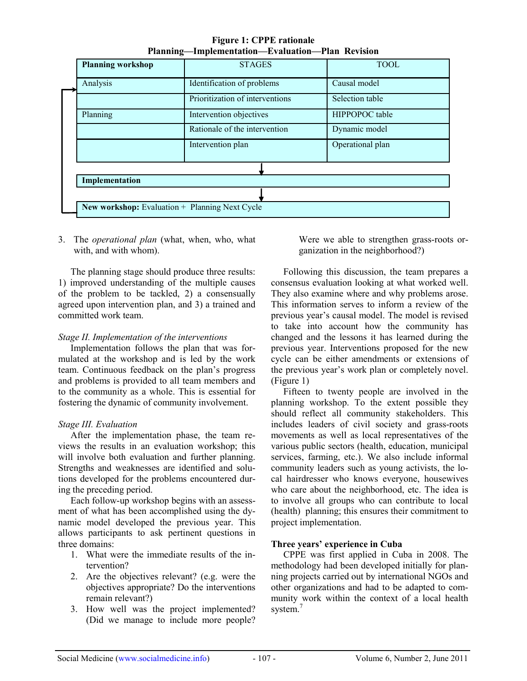|  | <b>Planning workshop</b>                                         | <b>STAGES</b>                   | <b>TOOL</b>      |  |  |  |
|--|------------------------------------------------------------------|---------------------------------|------------------|--|--|--|
|  | Analysis                                                         | Identification of problems      | Causal model     |  |  |  |
|  |                                                                  | Prioritization of interventions | Selection table  |  |  |  |
|  | Planning                                                         | Intervention objectives         | HIPPOPOC table   |  |  |  |
|  |                                                                  | Rationale of the intervention   | Dynamic model    |  |  |  |
|  |                                                                  | Intervention plan               | Operational plan |  |  |  |
|  |                                                                  |                                 |                  |  |  |  |
|  | Implementation<br>New workshop: Evaluation + Planning Next Cycle |                                 |                  |  |  |  |
|  |                                                                  |                                 |                  |  |  |  |
|  |                                                                  |                                 |                  |  |  |  |

**Figure 1: CPPE rationale Planning—Implementation—Evaluation—Plan Revision**

3. The *operational plan* (what, when, who, what with, and with whom).

The planning stage should produce three results: 1) improved understanding of the multiple causes of the problem to be tackled, 2) a consensually agreed upon intervention plan, and 3) a trained and committed work team.

# *Stage II. Implementation of the interventions*

Implementation follows the plan that was formulated at the workshop and is led by the work team. Continuous feedback on the plan's progress and problems is provided to all team members and to the community as a whole. This is essential for fostering the dynamic of community involvement.

# *Stage III. Evaluation*

After the implementation phase, the team reviews the results in an evaluation workshop; this will involve both evaluation and further planning. Strengths and weaknesses are identified and solutions developed for the problems encountered during the preceding period.

Each follow-up workshop begins with an assessment of what has been accomplished using the dynamic model developed the previous year. This allows participants to ask pertinent questions in three domains:

- 1. What were the immediate results of the intervention?
- 2. Are the objectives relevant? (e.g. were the objectives appropriate? Do the interventions remain relevant?)
- 3. How well was the project implemented? (Did we manage to include more people?

Were we able to strengthen grass-roots organization in the neighborhood?)

Following this discussion, the team prepares a consensus evaluation looking at what worked well. They also examine where and why problems arose. This information serves to inform a review of the previous year's causal model. The model is revised to take into account how the community has changed and the lessons it has learned during the previous year. Interventions proposed for the new cycle can be either amendments or extensions of the previous year's work plan or completely novel. (Figure 1)

Fifteen to twenty people are involved in the planning workshop. To the extent possible they should reflect all community stakeholders. This includes leaders of civil society and grass-roots movements as well as local representatives of the various public sectors (health, education, municipal services, farming, etc.). We also include informal community leaders such as young activists, the local hairdresser who knows everyone, housewives who care about the neighborhood, etc. The idea is to involve all groups who can contribute to local (health) planning; this ensures their commitment to project implementation.

# **Three years' experience in Cuba**

CPPE was first applied in Cuba in 2008. The methodology had been developed initially for planning projects carried out by international NGOs and other organizations and had to be adapted to community work within the context of a local health system.<sup>7</sup>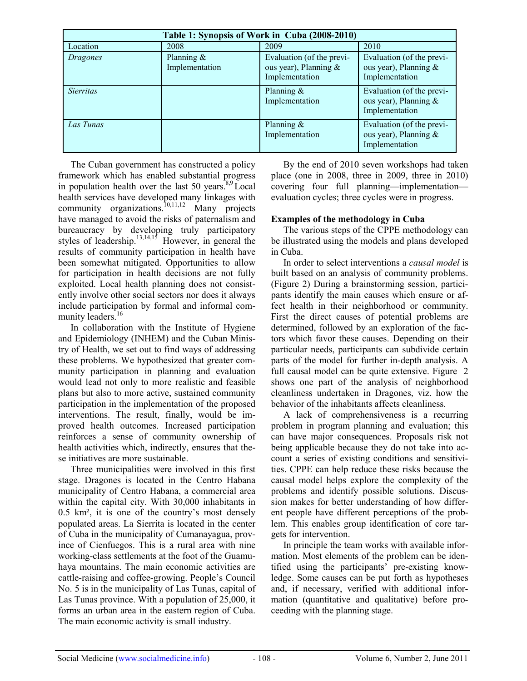| Table 1: Synopsis of Work in Cuba (2008-2010) |                                 |                                                                      |                                                                      |  |  |
|-----------------------------------------------|---------------------------------|----------------------------------------------------------------------|----------------------------------------------------------------------|--|--|
| Location                                      | 2008                            | 2009                                                                 | 2010                                                                 |  |  |
| Dragones                                      | Planning $\&$<br>Implementation | Evaluation (of the previ-<br>ous year), Planning &<br>Implementation | Evaluation (of the previ-<br>ous year), Planning &<br>Implementation |  |  |
| <i>Sierritas</i>                              |                                 | Planning $\&$<br>Implementation                                      | Evaluation (of the previ-<br>ous year), Planning &<br>Implementation |  |  |
| Las Tunas                                     |                                 | Planning $\&$<br>Implementation                                      | Evaluation (of the previ-<br>ous year), Planning &<br>Implementation |  |  |

The Cuban government has constructed a policy framework which has enabled substantial progress in population health over the last 50 years.<sup>8,9</sup>Local health services have developed many linkages with community organizations.<sup>10,11,12</sup> Many projects have managed to avoid the risks of paternalism and bureaucracy by developing truly participatory styles of leadership.<sup>13,14,15</sup> However, in general the results of community participation in health have been somewhat mitigated. Opportunities to allow for participation in health decisions are not fully exploited. Local health planning does not consistently involve other social sectors nor does it always include participation by formal and informal community leaders.<sup>16</sup>

In collaboration with the Institute of Hygiene and Epidemiology (INHEM) and the Cuban Ministry of Health, we set out to find ways of addressing these problems. We hypothesized that greater community participation in planning and evaluation would lead not only to more realistic and feasible plans but also to more active, sustained community participation in the implementation of the proposed interventions. The result, finally, would be improved health outcomes. Increased participation reinforces a sense of community ownership of health activities which, indirectly, ensures that these initiatives are more sustainable.

Three municipalities were involved in this first stage. Dragones is located in the Centro Habana municipality of Centro Habana, a commercial area within the capital city. With 30,000 inhabitants in 0.5 km², it is one of the country's most densely populated areas. La Sierrita is located in the center of Cuba in the municipality of Cumanayagua, province of Cienfuegos. This is a rural area with nine working-class settlements at the foot of the Guamuhaya mountains. The main economic activities are cattle-raising and coffee-growing. People's Council No. 5 is in the municipality of Las Tunas, capital of Las Tunas province. With a population of 25,000, it forms an urban area in the eastern region of Cuba. The main economic activity is small industry.

By the end of 2010 seven workshops had taken place (one in 2008, three in 2009, three in 2010) covering four full planning—implementation evaluation cycles; three cycles were in progress.

# **Examples of the methodology in Cuba**

The various steps of the CPPE methodology can be illustrated using the models and plans developed in Cuba.

In order to select interventions a *causal model* is built based on an analysis of community problems. (Figure 2) During a brainstorming session, participants identify the main causes which ensure or affect health in their neighborhood or community. First the direct causes of potential problems are determined, followed by an exploration of the factors which favor these causes. Depending on their particular needs, participants can subdivide certain parts of the model for further in-depth analysis. A full causal model can be quite extensive. Figure 2 shows one part of the analysis of neighborhood cleanliness undertaken in Dragones, viz. how the behavior of the inhabitants affects cleanliness.

A lack of comprehensiveness is a recurring problem in program planning and evaluation; this can have major consequences. Proposals risk not being applicable because they do not take into account a series of existing conditions and sensitivities. CPPE can help reduce these risks because the causal model helps explore the complexity of the problems and identify possible solutions. Discussion makes for better understanding of how different people have different perceptions of the problem. This enables group identification of core targets for intervention.

In principle the team works with available information. Most elements of the problem can be identified using the participants' pre-existing knowledge. Some causes can be put forth as hypotheses and, if necessary, verified with additional information (quantitative and qualitative) before proceeding with the planning stage.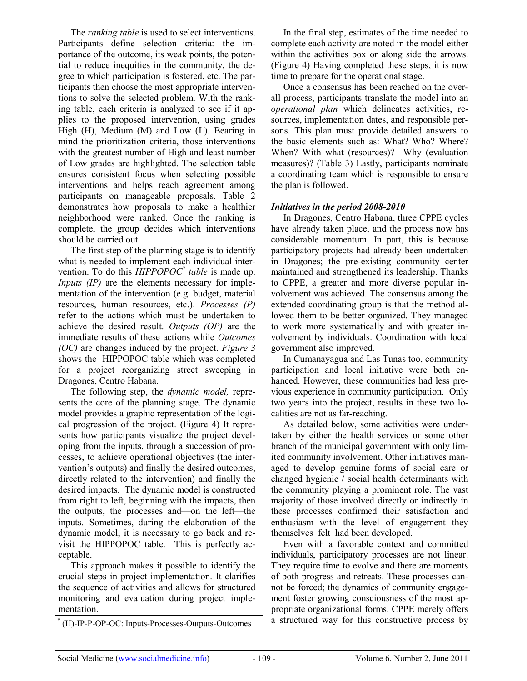The *ranking table* is used to select interventions. Participants define selection criteria: the importance of the outcome, its weak points, the potential to reduce inequities in the community, the degree to which participation is fostered, etc. The participants then choose the most appropriate interventions to solve the selected problem. With the ranking table, each criteria is analyzed to see if it applies to the proposed intervention, using grades High (H), Medium (M) and Low (L). Bearing in mind the prioritization criteria, those interventions with the greatest number of High and least number of Low grades are highlighted. The selection table ensures consistent focus when selecting possible interventions and helps reach agreement among participants on manageable proposals. Table 2 demonstrates how proposals to make a healthier neighborhood were ranked. Once the ranking is complete, the group decides which interventions should be carried out.

The first step of the planning stage is to identify what is needed to implement each individual intervention. To do this *HIPPOPOC\* table* is made up. *Inputs (IP)* are the elements necessary for implementation of the intervention (e.g. budget, material resources, human resources, etc.). *Processes (P)* refer to the actions which must be undertaken to achieve the desired result. *Outputs (OP)* are the immediate results of these actions while *Outcomes (OC)* are changes induced by the project. *Figure 3* shows the HIPPOPOC table which was completed for a project reorganizing street sweeping in Dragones, Centro Habana.

The following step, the *dynamic model,* represents the core of the planning stage. The dynamic model provides a graphic representation of the logical progression of the project. (Figure 4) It represents how participants visualize the project developing from the inputs, through a succession of processes, to achieve operational objectives (the intervention's outputs) and finally the desired outcomes, directly related to the intervention) and finally the desired impacts. The dynamic model is constructed from right to left, beginning with the impacts, then the outputs, the processes and—on the left—the inputs. Sometimes, during the elaboration of the dynamic model, it is necessary to go back and revisit the HIPPOPOC table. This is perfectly acceptable.

This approach makes it possible to identify the crucial steps in project implementation. It clarifies the sequence of activities and allows for structured monitoring and evaluation during project implementation.

In the final step, estimates of the time needed to complete each activity are noted in the model either within the activities box or along side the arrows. (Figure 4) Having completed these steps, it is now time to prepare for the operational stage.

Once a consensus has been reached on the overall process, participants translate the model into an *operational plan* which delineates activities, resources, implementation dates, and responsible persons. This plan must provide detailed answers to the basic elements such as: What? Who? Where? When? With what (resources)? Why (evaluation measures)? (Table 3) Lastly, participants nominate a coordinating team which is responsible to ensure the plan is followed.

# *Initiatives in the period 2008-2010*

In Dragones, Centro Habana, three CPPE cycles have already taken place, and the process now has considerable momentum. In part, this is because participatory projects had already been undertaken in Dragones; the pre-existing community center maintained and strengthened its leadership. Thanks to CPPE, a greater and more diverse popular involvement was achieved. The consensus among the extended coordinating group is that the method allowed them to be better organized. They managed to work more systematically and with greater involvement by individuals. Coordination with local government also improved.

In Cumanayagua and Las Tunas too, community participation and local initiative were both enhanced. However, these communities had less previous experience in community participation. Only two years into the project, results in these two localities are not as far-reaching.

As detailed below, some activities were undertaken by either the health services or some other branch of the municipal government with only limited community involvement. Other initiatives managed to develop genuine forms of social care or changed hygienic / social health determinants with the community playing a prominent role. The vast majority of those involved directly or indirectly in these processes confirmed their satisfaction and enthusiasm with the level of engagement they themselves felt had been developed.

Even with a favorable context and committed individuals, participatory processes are not linear. They require time to evolve and there are moments of both progress and retreats. These processes cannot be forced; the dynamics of community engagement foster growing consciousness of the most appropriate organizational forms. CPPE merely offers \* a structured way for this constructive process by (H)-IP-P-OP-OC: Inputs-Processes-Outputs-Outcomes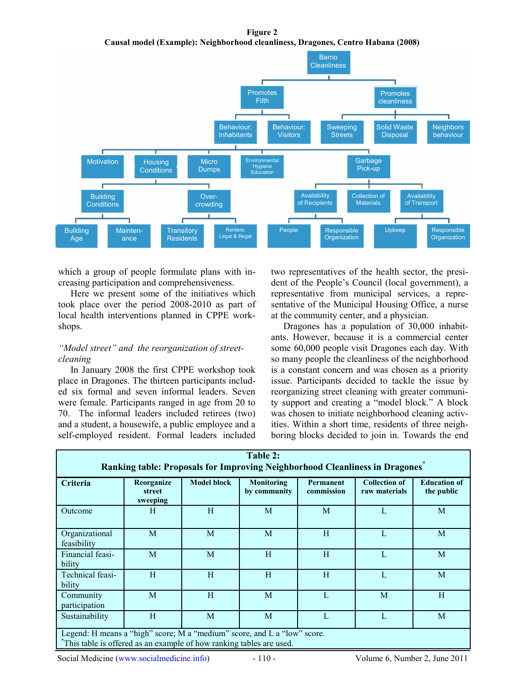**Figure 2 Causal model (Example): Neighborhood cleanliness, Dragones, Centro Habana (2008)**



which a group of people formulate plans with increasing participation and comprehensiveness.

Here we present some of the initiatives which took place over the period 2008-2010 as part of local health interventions planned in CPPE workshops.

#### *"Model street" and the reorganization of streetcleaning*

In January 2008 the first CPPE workshop took place in Dragones. The thirteen participants included six formal and seven informal leaders. Seven were female. Participants ranged in age from 20 to 70. The informal leaders included retirees (two) and a student, a housewife, a public employee and a self-employed resident. Formal leaders included two representatives of the health sector, the president of the People's Council (local government), a representative from municipal services, a representative of the Municipal Housing Office, a nurse at the community center, and a physician.

Dragones has a population of 30,000 inhabitants. However, because it is a commercial center some 60,000 people visit Dragones each day. With so many people the cleanliness of the neighborhood is a constant concern and was chosen as a priority issue. Participants decided to tackle the issue by reorganizing street cleaning with greater community support and creating a "model block." A block was chosen to initiate neighborhood cleaning activities. Within a short time, residents of three neighboring blocks decided to join in. Towards the end

| Table 2:<br>Ranking table: Proposals for Improving Neighborhood Cleanliness in Dragones*                                                         |                                  |                    |                                   |                                |                                       |                                   |
|--------------------------------------------------------------------------------------------------------------------------------------------------|----------------------------------|--------------------|-----------------------------------|--------------------------------|---------------------------------------|-----------------------------------|
| Criteria                                                                                                                                         | Reorganize<br>street<br>sweeping | <b>Model block</b> | <b>Monitoring</b><br>by community | <b>Permanent</b><br>commission | <b>Collection of</b><br>raw materials | <b>Education of</b><br>the public |
| Outcome                                                                                                                                          | H                                | H                  | M                                 | M                              | L                                     | M                                 |
| Organizational<br>feasibility                                                                                                                    | M                                | M                  | M                                 | H                              | L                                     | M                                 |
| Financial feasi-<br>bility                                                                                                                       | M                                | M                  | H                                 | H                              | L                                     | M                                 |
| Technical feasi-<br>bility                                                                                                                       | H                                | H                  | H                                 | H                              | L                                     | M                                 |
| Community<br>participation                                                                                                                       | M                                | H                  | M                                 | L                              | M                                     | H                                 |
| Sustainability                                                                                                                                   | H                                | M                  | M                                 | L                              | L                                     | M                                 |
| Legend: H means a "high" score; M a "medium" score, and L a "low" score.<br>*This table is offered as an example of how ranking tables are used. |                                  |                    |                                   |                                |                                       |                                   |

Social Medicine (www.socialmedicine.info) - 110 - Volume 6, Number 2, June 2011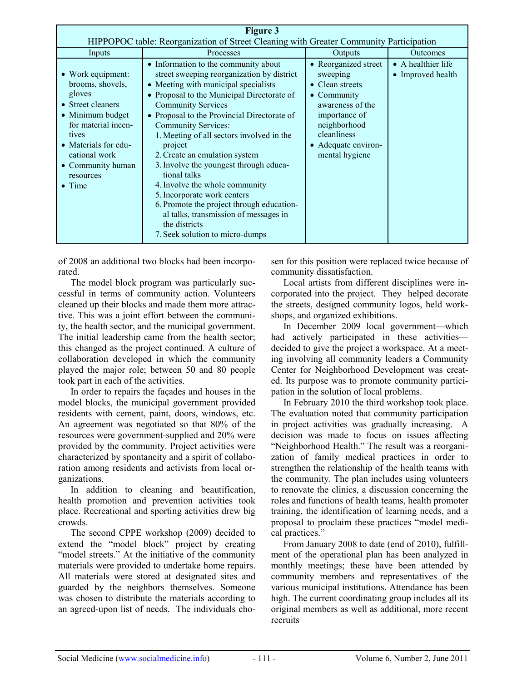| <b>Figure 3</b>                                                                                                                                                                                               |                                                                                                                                                                                                                                                                                                                                                                                                                                                                                                                                                                                                                                                  |                                                                                                                                                                                 |                                         |  |  |  |
|---------------------------------------------------------------------------------------------------------------------------------------------------------------------------------------------------------------|--------------------------------------------------------------------------------------------------------------------------------------------------------------------------------------------------------------------------------------------------------------------------------------------------------------------------------------------------------------------------------------------------------------------------------------------------------------------------------------------------------------------------------------------------------------------------------------------------------------------------------------------------|---------------------------------------------------------------------------------------------------------------------------------------------------------------------------------|-----------------------------------------|--|--|--|
| HIPPOPOC table: Reorganization of Street Cleaning with Greater Community Participation                                                                                                                        |                                                                                                                                                                                                                                                                                                                                                                                                                                                                                                                                                                                                                                                  |                                                                                                                                                                                 |                                         |  |  |  |
| Inputs                                                                                                                                                                                                        | Processes                                                                                                                                                                                                                                                                                                                                                                                                                                                                                                                                                                                                                                        | Outputs                                                                                                                                                                         | Outcomes                                |  |  |  |
| • Work equipment:<br>brooms, shovels,<br>gloves<br>• Street cleaners<br>• Minimum budget<br>for material incen-<br>tives<br>• Materials for edu-<br>cational work<br>• Community human<br>resources<br>• Time | • Information to the community about<br>street sweeping reorganization by district<br>• Meeting with municipal specialists<br>• Proposal to the Municipal Directorate of<br><b>Community Services</b><br>• Proposal to the Provincial Directorate of<br><b>Community Services:</b><br>1. Meeting of all sectors involved in the<br>project<br>2. Create an emulation system<br>3. Involve the youngest through educa-<br>tional talks<br>4. Involve the whole community<br>5. Incorporate work centers<br>6. Promote the project through education-<br>al talks, transmission of messages in<br>the districts<br>7. Seek solution to micro-dumps | • Reorganized street<br>sweeping<br>• Clean streets<br>• Community<br>awareness of the<br>importance of<br>neighborhood<br>cleanliness<br>• Adequate environ-<br>mental hygiene | • A healthier life<br>• Improved health |  |  |  |

of 2008 an additional two blocks had been incorporated.

The model block program was particularly successful in terms of community action. Volunteers cleaned up their blocks and made them more attractive. This was a joint effort between the community, the health sector, and the municipal government. The initial leadership came from the health sector; this changed as the project continued. A culture of collaboration developed in which the community played the major role; between 50 and 80 people took part in each of the activities.

In order to repairs the façades and houses in the model blocks, the municipal government provided residents with cement, paint, doors, windows, etc. An agreement was negotiated so that 80% of the resources were government-supplied and 20% were provided by the community. Project activities were characterized by spontaneity and a spirit of collaboration among residents and activists from local organizations.

In addition to cleaning and beautification, health promotion and prevention activities took place. Recreational and sporting activities drew big crowds.

The second CPPE workshop (2009) decided to extend the "model block" project by creating "model streets." At the initiative of the community materials were provided to undertake home repairs. All materials were stored at designated sites and guarded by the neighbors themselves. Someone was chosen to distribute the materials according to an agreed-upon list of needs. The individuals chosen for this position were replaced twice because of community dissatisfaction.

Local artists from different disciplines were incorporated into the project. They helped decorate the streets, designed community logos, held workshops, and organized exhibitions.

In December 2009 local government—which had actively participated in these activities decided to give the project a workspace. At a meeting involving all community leaders a Community Center for Neighborhood Development was created. Its purpose was to promote community participation in the solution of local problems.

In February 2010 the third workshop took place. The evaluation noted that community participation in project activities was gradually increasing. A decision was made to focus on issues affecting "Neighborhood Health." The result was a reorganization of family medical practices in order to strengthen the relationship of the health teams with the community. The plan includes using volunteers to renovate the clinics, a discussion concerning the roles and functions of health teams, health promoter training, the identification of learning needs, and a proposal to proclaim these practices "model medical practices."

From January 2008 to date (end of 2010), fulfillment of the operational plan has been analyzed in monthly meetings; these have been attended by community members and representatives of the various municipal institutions. Attendance has been high. The current coordinating group includes all its original members as well as additional, more recent recruits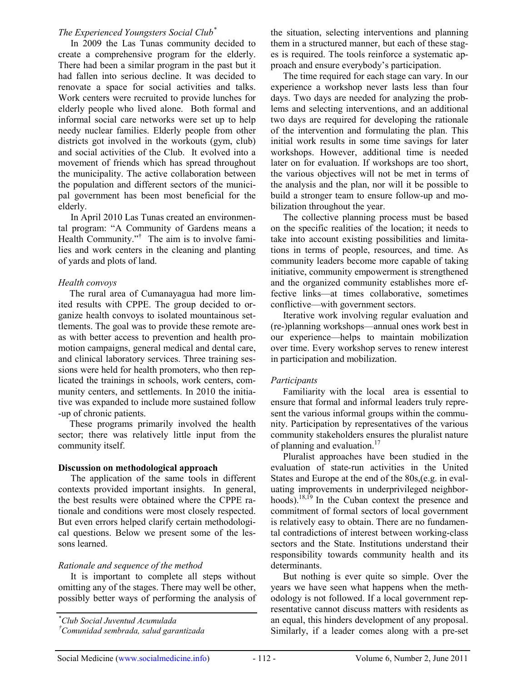#### *The Experienced Youngsters Social Club\**

In 2009 the Las Tunas community decided to create a comprehensive program for the elderly. There had been a similar program in the past but it had fallen into serious decline. It was decided to renovate a space for social activities and talks. Work centers were recruited to provide lunches for elderly people who lived alone. Both formal and informal social care networks were set up to help needy nuclear families. Elderly people from other districts got involved in the workouts (gym, club) and social activities of the Club. It evolved into a movement of friends which has spread throughout the municipality. The active collaboration between the population and different sectors of the municipal government has been most beneficial for the elderly.

In April 2010 Las Tunas created an environmental program: "A Community of Gardens means a Health Community."† The aim is to involve families and work centers in the cleaning and planting of yards and plots of land.

#### *Health convoys*

The rural area of Cumanayagua had more limited results with CPPE. The group decided to organize health convoys to isolated mountainous settlements. The goal was to provide these remote areas with better access to prevention and health promotion campaigns, general medical and dental care, and clinical laboratory services. Three training sessions were held for health promoters, who then replicated the trainings in schools, work centers, community centers, and settlements. In 2010 the initiative was expanded to include more sustained follow -up of chronic patients.

These programs primarily involved the health sector; there was relatively little input from the community itself.

#### **Discussion on methodological approach**

The application of the same tools in different contexts provided important insights. In general, the best results were obtained where the CPPE rationale and conditions were most closely respected. But even errors helped clarify certain methodological questions. Below we present some of the lessons learned.

# *Rationale and sequence of the method*

It is important to complete all steps without omitting any of the stages. There may well be other, possibly better ways of performing the analysis of the situation, selecting interventions and planning them in a structured manner, but each of these stages is required. The tools reinforce a systematic approach and ensure everybody's participation.

The time required for each stage can vary. In our experience a workshop never lasts less than four days. Two days are needed for analyzing the problems and selecting interventions, and an additional two days are required for developing the rationale of the intervention and formulating the plan. This initial work results in some time savings for later workshops. However, additional time is needed later on for evaluation. If workshops are too short, the various objectives will not be met in terms of the analysis and the plan, nor will it be possible to build a stronger team to ensure follow-up and mobilization throughout the year.

The collective planning process must be based on the specific realities of the location; it needs to take into account existing possibilities and limitations in terms of people, resources, and time. As community leaders become more capable of taking initiative, community empowerment is strengthened and the organized community establishes more effective links—at times collaborative, sometimes conflictive—with government sectors.

Iterative work involving regular evaluation and (re-)planning workshops—annual ones work best in our experience—helps to maintain mobilization over time. Every workshop serves to renew interest in participation and mobilization.

# *Participants*

Familiarity with the local area is essential to ensure that formal and informal leaders truly represent the various informal groups within the community. Participation by representatives of the various community stakeholders ensures the pluralist nature of planning and evaluation. $17$ 

Pluralist approaches have been studied in the evaluation of state-run activities in the United States and Europe at the end of the 80s,(e.g. in evaluating improvements in underprivileged neighborhoods).<sup>18,19</sup> In the Cuban context the presence and commitment of formal sectors of local government is relatively easy to obtain. There are no fundamental contradictions of interest between working-class sectors and the State. Institutions understand their responsibility towards community health and its determinants.

But nothing is ever quite so simple. Over the years we have seen what happens when the methodology is not followed. If a local government representative cannot discuss matters with residents as an equal, this hinders development of any proposal. Similarly, if a leader comes along with a pre-set

<sup>\*</sup>*Club Social Juventud Acumulada*

*<sup>†</sup>Comunidad sembrada, salud garantizada*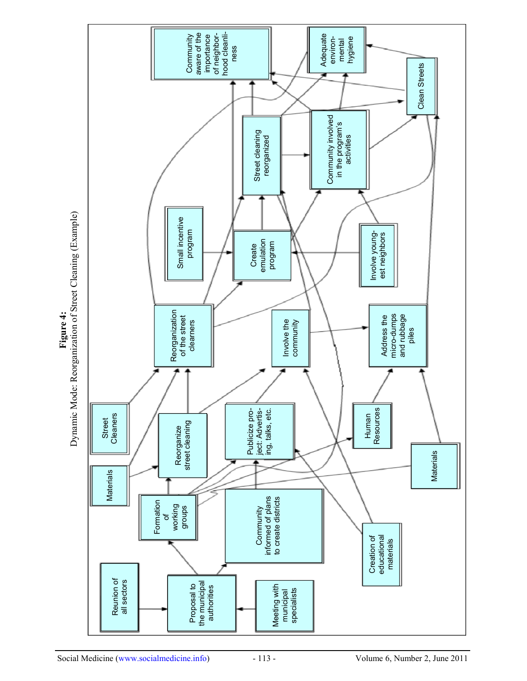

**Fig ure 4:** de: Reorganizatio  $\mathbf{r}$ of Street Cleanin g (E xample)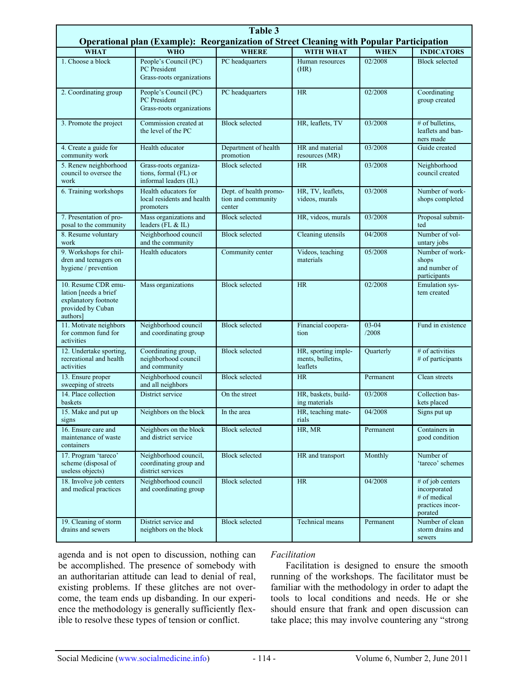| <b>Table 3</b><br>Operational plan (Example): Reorganization of Street Cleaning with Popular Participation |                                                                         |                                                        |                                                      |                    |                                                                                 |  |  |
|------------------------------------------------------------------------------------------------------------|-------------------------------------------------------------------------|--------------------------------------------------------|------------------------------------------------------|--------------------|---------------------------------------------------------------------------------|--|--|
| <b>WHAT</b>                                                                                                | <b>WHO</b>                                                              | <b>WHERE</b>                                           | <b>WITH WHAT</b>                                     | <b>WHEN</b>        | <b>INDICATORS</b>                                                               |  |  |
| 1. Choose a block                                                                                          | People's Council (PC)<br>PC President<br>Grass-roots organizations      | PC headquarters                                        | Human resources<br>(HR)                              | 02/2008            | <b>Block selected</b>                                                           |  |  |
| 2. Coordinating group                                                                                      | People's Council (PC)<br>PC President<br>Grass-roots organizations      | PC headquarters                                        | <b>HR</b>                                            | 02/2008            | Coordinating<br>group created                                                   |  |  |
| 3. Promote the project                                                                                     | Commission created at<br>the level of the PC                            | <b>Block selected</b>                                  | HR, leaflets, TV                                     | 03/2008            | $#$ of bulletins,<br>leaflets and ban-<br>ners made                             |  |  |
| 4. Create a guide for<br>community work                                                                    | Health educator                                                         | Department of health<br>promotion                      | HR and material<br>resources (MR)                    | 03/2008            | Guide created                                                                   |  |  |
| 5. Renew neighborhood<br>council to oversee the<br>work                                                    | Grass-roots organiza-<br>tions, formal (FL) or<br>informal leaders (IL) | <b>Block selected</b>                                  | <b>HR</b>                                            | 03/2008            | Neighborhood<br>council created                                                 |  |  |
| 6. Training workshops                                                                                      | Health educators for<br>local residents and health<br>promoters         | Dept. of health promo-<br>tion and community<br>center | HR, TV, leaflets,<br>videos, murals                  | 03/2008            | Number of work-<br>shops completed                                              |  |  |
| 7. Presentation of pro-<br>posal to the community                                                          | Mass organizations and<br>leaders (FL & IL)                             | <b>Block selected</b>                                  | HR, videos, murals                                   | 03/2008            | Proposal submit-<br>ted                                                         |  |  |
| 8. Resume voluntary<br>work                                                                                | Neighborhood council<br>and the community                               | <b>Block selected</b>                                  | Cleaning utensils                                    | 04/2008            | Number of vol-<br>untary jobs                                                   |  |  |
| 9. Workshops for chil-<br>dren and teenagers on<br>hygiene / prevention                                    | Health educators                                                        | Community center                                       | Videos, teaching<br>materials                        | 05/2008            | Number of work-<br>shops<br>and number of<br>participants                       |  |  |
| 10. Resume CDR emu-<br>lation [needs a brief<br>explanatory footnote<br>provided by Cuban<br>authors]      | Mass organizations                                                      | <b>Block selected</b>                                  | <b>HR</b>                                            | 02/2008            | Emulation sys-<br>tem created                                                   |  |  |
| 11. Motivate neighbors<br>for common fund for<br>activities                                                | Neighborhood council<br>and coordinating group                          | <b>Block selected</b>                                  | Financial coopera-<br>tion                           | $03 - 04$<br>/2008 | Fund in existence                                                               |  |  |
| 12. Undertake sporting,<br>recreational and health<br>activities                                           | Coordinating group,<br>neighborhood council<br>and community            | <b>Block selected</b>                                  | HR, sporting imple-<br>ments, bulletins,<br>leaflets | Quarterly          | # of activities<br># of participants                                            |  |  |
| 13. Ensure proper<br>sweeping of streets                                                                   | Neighborhood council<br>and all neighbors                               | <b>Block selected</b>                                  | <b>HR</b>                                            | Permanent          | Clean streets                                                                   |  |  |
| 14. Place collection<br><b>baskets</b>                                                                     | District service                                                        | On the street                                          | HR, baskets, build-<br>ing materials                 | 03/2008            | Collection bas-<br>kets placed                                                  |  |  |
| 15. Make and put up<br>signs                                                                               | Neighbors on the block                                                  | In the area                                            | HR, teaching mate-<br>rials                          | 04/2008            | Signs put up                                                                    |  |  |
| 16. Ensure care and<br>maintenance of waste<br>containers                                                  | Neighbors on the block<br>and district service                          | <b>Block selected</b>                                  | HR, MR                                               | Permanent          | Containers in<br>good condition                                                 |  |  |
| 17. Program 'tareco'<br>scheme (disposal of<br>useless objects)                                            | Neighborhood council,<br>coordinating group and<br>district services    | <b>Block selected</b>                                  | HR and transport                                     | Monthly            | Number of<br>'tareco' schemes                                                   |  |  |
| 18. Involve job centers<br>and medical practices                                                           | Neighborhood council<br>and coordinating group                          | <b>Block selected</b>                                  | HR                                                   | 04/2008            | # of job centers<br>incorporated<br># of medical<br>practices incor-<br>porated |  |  |
| 19. Cleaning of storm<br>drains and sewers                                                                 | District service and<br>neighbors on the block                          | <b>Block selected</b>                                  | Technical means                                      | Permanent          | Number of clean<br>storm drains and<br>sewers                                   |  |  |

agenda and is not open to discussion, nothing can be accomplished. The presence of somebody with an authoritarian attitude can lead to denial of real, existing problems. If these glitches are not overcome, the team ends up disbanding. In our experience the methodology is generally sufficiently flexible to resolve these types of tension or conflict.

#### *Facilitation*

Facilitation is designed to ensure the smooth running of the workshops. The facilitator must be familiar with the methodology in order to adapt the tools to local conditions and needs. He or she should ensure that frank and open discussion can take place; this may involve countering any "strong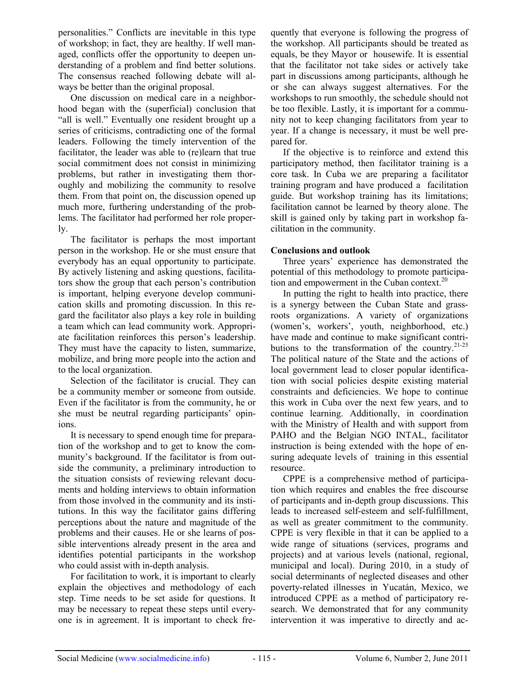personalities." Conflicts are inevitable in this type of workshop; in fact, they are healthy. If well managed, conflicts offer the opportunity to deepen understanding of a problem and find better solutions. The consensus reached following debate will always be better than the original proposal.

One discussion on medical care in a neighborhood began with the (superficial) conclusion that "all is well." Eventually one resident brought up a series of criticisms, contradicting one of the formal leaders. Following the timely intervention of the facilitator, the leader was able to (re)learn that true social commitment does not consist in minimizing problems, but rather in investigating them thoroughly and mobilizing the community to resolve them. From that point on, the discussion opened up much more, furthering understanding of the problems. The facilitator had performed her role properly.

The facilitator is perhaps the most important person in the workshop. He or she must ensure that everybody has an equal opportunity to participate. By actively listening and asking questions, facilitators show the group that each person's contribution is important, helping everyone develop communication skills and promoting discussion. In this regard the facilitator also plays a key role in building a team which can lead community work. Appropriate facilitation reinforces this person's leadership. They must have the capacity to listen, summarize, mobilize, and bring more people into the action and to the local organization.

Selection of the facilitator is crucial. They can be a community member or someone from outside. Even if the facilitator is from the community, he or she must be neutral regarding participants' opinions.

It is necessary to spend enough time for preparation of the workshop and to get to know the community's background. If the facilitator is from outside the community, a preliminary introduction to the situation consists of reviewing relevant documents and holding interviews to obtain information from those involved in the community and its institutions. In this way the facilitator gains differing perceptions about the nature and magnitude of the problems and their causes. He or she learns of possible interventions already present in the area and identifies potential participants in the workshop who could assist with in-depth analysis.

For facilitation to work, it is important to clearly explain the objectives and methodology of each step. Time needs to be set aside for questions. It may be necessary to repeat these steps until everyone is in agreement. It is important to check frequently that everyone is following the progress of the workshop. All participants should be treated as equals, be they Mayor or housewife. It is essential that the facilitator not take sides or actively take part in discussions among participants, although he or she can always suggest alternatives. For the workshops to run smoothly, the schedule should not be too flexible. Lastly, it is important for a community not to keep changing facilitators from year to year. If a change is necessary, it must be well prepared for.

If the objective is to reinforce and extend this participatory method, then facilitator training is a core task. In Cuba we are preparing a facilitator training program and have produced a facilitation guide. But workshop training has its limitations; facilitation cannot be learned by theory alone. The skill is gained only by taking part in workshop facilitation in the community.

# **Conclusions and outlook**

Three years' experience has demonstrated the potential of this methodology to promote participation and empowerment in the Cuban context. $20$ 

In putting the right to health into practice, there is a synergy between the Cuban State and grassroots organizations. A variety of organizations (women's, workers', youth, neighborhood, etc.) have made and continue to make significant contributions to the transformation of the country. $21-25$ The political nature of the State and the actions of local government lead to closer popular identification with social policies despite existing material constraints and deficiencies. We hope to continue this work in Cuba over the next few years, and to continue learning. Additionally, in coordination with the Ministry of Health and with support from PAHO and the Belgian NGO INTAL, facilitator instruction is being extended with the hope of ensuring adequate levels of training in this essential resource.

CPPE is a comprehensive method of participation which requires and enables the free discourse of participants and in-depth group discussions. This leads to increased self-esteem and self-fulfillment, as well as greater commitment to the community. CPPE is very flexible in that it can be applied to a wide range of situations (services, programs and projects) and at various levels (national, regional, municipal and local). During 2010, in a study of social determinants of neglected diseases and other poverty-related illnesses in Yucatán, Mexico, we introduced CPPE as a method of participatory research. We demonstrated that for any community intervention it was imperative to directly and ac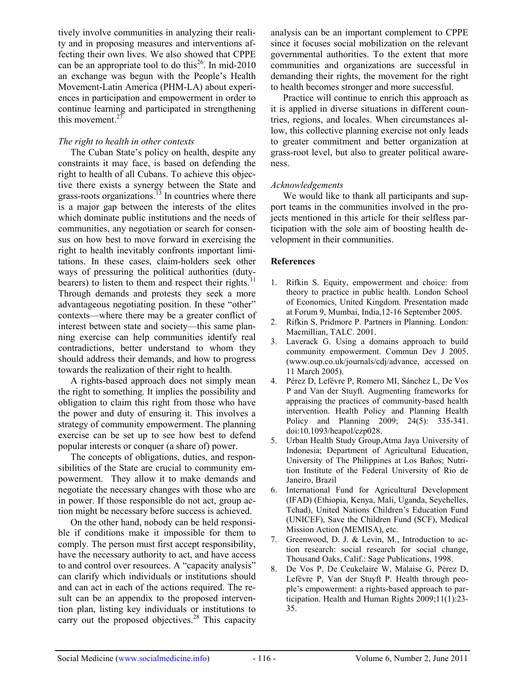tively involve communities in analyzing their reality and in proposing measures and interventions affecting their own lives. We also showed that CPPE can be an appropriate tool to do this<sup>26</sup>. In mid-2010 an exchange was begun with the People's Health Movement-Latin America (PHM-LA) about experiences in participation and empowerment in order to continue learning and participated in strengthening this movement. $2^{7}$ 

### *The right to health in other contexts*

The Cuban State's policy on health, despite any constraints it may face, is based on defending the right to health of all Cubans. To achieve this objective there exists a synergy between the State and grass-roots organizations.<sup>13</sup> In countries where there is a major gap between the interests of the elites which dominate public institutions and the needs of communities, any negotiation or search for consensus on how best to move forward in exercising the right to health inevitably confronts important limitations. In these cases, claim-holders seek other ways of pressuring the political authorities (dutybearers) to listen to them and respect their rights.<sup>1</sup> Through demands and protests they seek a more advantageous negotiating position. In these "other" contexts—where there may be a greater conflict of<br>interest between state and easiety, this same alone interest between state and society—this same planning exercise can help communities identify real contradictions, better understand to whom they should address their demands, and how to progress towards the realization of their right to health.

A rights-based approach does not simply mean the right to something. It implies the possibility and obligation to claim this right from those who have the power and duty of ensuring it. This involves a strategy of community empowerment. The planning exercise can be set up to see how best to defend popular interests or conquer (a share of) power.

The concepts of obligations, duties, and responsibilities of the State are crucial to community empowerment. They allow it to make demands and negotiate the necessary changes with those who are in power. If those responsible do not act, group action might be necessary before success is achieved.

On the other hand, nobody can be held responsible if conditions make it impossible for them to comply. The person must first accept responsibility, have the necessary authority to act, and have access to and control over resources. A "capacity analysis" can clarify which individuals or institutions should and can act in each of the actions required. The result can be an appendix to the proposed intervention plan, listing key individuals or institutions to carry out the proposed objectives. $28$  This capacity analysis can be an important complement to CPPE since it focuses social mobilization on the relevant governmental authorities. To the extent that more communities and organizations are successful in demanding their rights, the movement for the right to health becomes stronger and more successful.

Practice will continue to enrich this approach as it is applied in diverse situations in different countries, regions, and locales. When circumstances allow, this collective planning exercise not only leads to greater commitment and better organization at grass-root level, but also to greater political awareness.

#### *Acknowledgements*

We would like to thank all participants and support teams in the communities involved in the projects mentioned in this article for their selfless participation with the sole aim of boosting health development in their communities.

#### **References**

- 1. Rifkin S. Equity, empowerment and choice: from theory to practice in public health. London School of Economics, United Kingdom. Presentation made at Forum 9, Mumbai, India,12-16 September 2005.
- Rifkin S, Pridmore P. Partners in Planning. London: Macmillian, TALC. 2001.
- 3. Laverack G. Using a domains approach to build community empowerment. Commun Dev J 2005. (www.oup.co.uk/journals/cdj/advance, accessed on 11 March 2005).
- 4. Pérez D, Lefévre P, Romero MI, Sánchez L, De Vos P and Van der Stuyft. Augmenting frameworks for appraising the practices of community-based health intervention. Health Policy and Planning Health Policy and Planning 2009; 24(5): 335-341. doi:10.1093/heapol/czp028.
- 5. Urban Health Study Group,Atma Jaya University of Indonesia; Department of Agricultural Education, University of The Philippines at Los Baños; Nutrition Institute of the Federal University of Rio de Janeiro, Brazil
- 6. International Fund for Agricultural Development (IFAD) (Ethiopia, Kenya, Mali, Uganda, Seychelles, Tchad), United Nations Children's Education Fund (UNICEF), Save the Children Fund (SCF), Medical Mission Action (MEMISA), etc.
- Greenwood, D. J. & Levin, M., Introduction to action research: social research for social change, Thousand Oaks, Calif.: Sage Publications, 1998.
- 8. De Vos P, De Ceukelaire W, Malaise G, Pérez D, Lefèvre P, Van der Stuyft P. Health through people's empowerment: a rights-based approach to participation. Health and Human Rights 2009;11(1):23- 35.